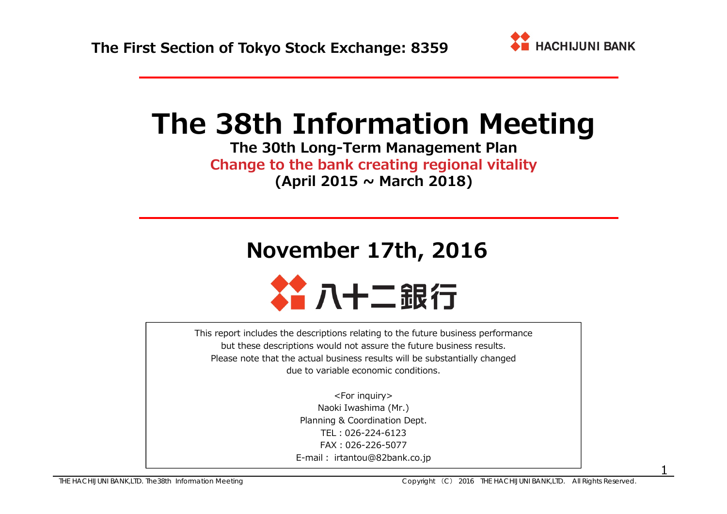

# **The 38th Information Meeting**

**The 30th Long-Term Management Plan Change to the bank creating regional vitality (April 2015 <sup>~</sup> March 2018)**

# **November 17th, 2016**



This report includes the descriptions relating to the future business performance but these descriptions would not assure the future business results. Please note that the actual business results will be substantially changed due to variable economic conditions.

> <For inquiry> Naoki Iwashima (Mr.) Planning & Coordination Dept. TEL:026-224-6123FAX:026-226-5077E-mail: irtantou@82bank.co.jp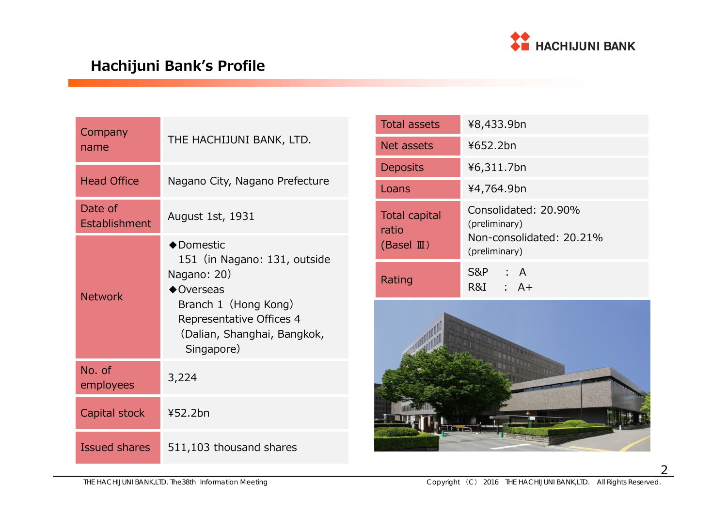

## **Hachijuni Bank's Profile**

| Company<br>name          | THE HACHIJUNI BANK, LTD.                                                                                                                                                         |
|--------------------------|----------------------------------------------------------------------------------------------------------------------------------------------------------------------------------|
| <b>Head Office</b>       | Nagano City, Nagano Prefecture                                                                                                                                                   |
| Date of<br>Establishment | August 1st, 1931                                                                                                                                                                 |
| <b>Network</b>           | ◆Domestic<br>151 (in Nagano: 131, outside<br>Nagano: 20)<br>$\bigcirc$ Overseas<br>Branch 1 (Hong Kong)<br>Representative Offices 4<br>(Dalian, Shanghai, Bangkok,<br>Singapore) |
| No. of<br>employees      | 3,224                                                                                                                                                                            |
| Capital stock            | ¥52.2bn                                                                                                                                                                          |
| <b>Issued shares</b>     | 511,103 thousand shares                                                                                                                                                          |

| <b>Total assets</b>                                    | ¥8,433.9bn                                                                         |
|--------------------------------------------------------|------------------------------------------------------------------------------------|
| Net assets                                             | ¥652.2bn                                                                           |
| <b>Deposits</b>                                        | ¥6,311.7bn                                                                         |
| Loans                                                  | ¥4,764.9bn                                                                         |
| <b>Total capital</b><br>ratio<br>(Basel $\mathbb{I}$ ) | Consolidated: 20.90%<br>(preliminary)<br>Non-consolidated: 20.21%<br>(preliminary) |
| Rating                                                 | S&P : A<br>R&I : A+                                                                |
|                                                        |                                                                                    |

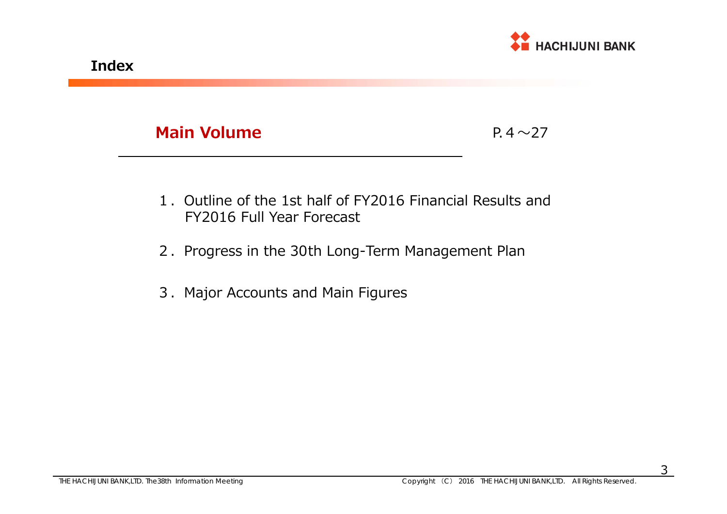

P.4 $\sim$ 27

- 1.Outline of the 1st half of FY2016 Financial Results and FY2016 Full Year Forecast
- 2. Progress in the 30th Long-Term Management Plan
- 3.Major Accounts and Main Figures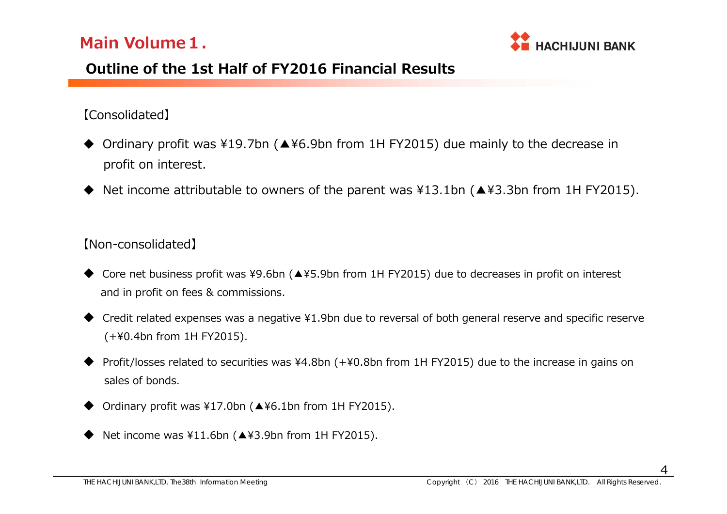

## **Outline of the 1st Half of FY2016 Financial Results**

### 【Consolidated】

- Ordinary profit was ¥19.7bn (▲¥6.9bn from 1H FY2015) due mainly to the decrease in profit on interest.
- ♦ Net income attributable to owners of the parent was ¥13.1bn (▲¥3.3bn from 1H FY2015).

### 【Non-consolidated】

- Core net business profit was ¥9.6bn (▲¥5.9bn from 1H FY2015) due to decreases in profit on interest and in profit on fees & commissions.
- ♦ Credit related expenses was a negative ¥1.9bn due to reversal of both general reserve and specific reserve (+¥0.4bn from 1H FY2015).
- ♦ Profit/losses related to securities was ¥4.8bn (+¥0.8bn from 1H FY2015) due to the increase in gains on sales of bonds.
- ♦ Ordinary profit was ¥17.0bn (▲¥6.1bn from 1H FY2015).
- ♦ Net income was ¥11.6bn (▲¥3.9bn from 1H FY2015).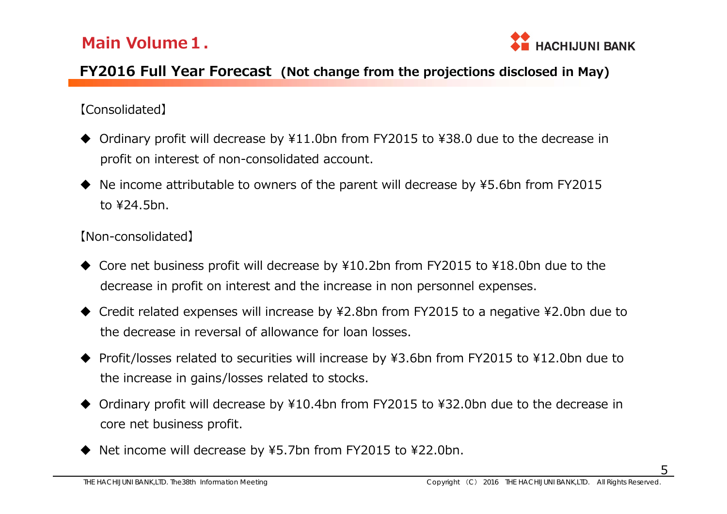

### **FY2016 Full Year Forecast (Not change from the projections disclosed in May)**

### 【Consolidated】

- ◆ Ordinary profit will decrease by ¥11.0bn from FY2015 to ¥38.0 due to the decrease in profit on interest of non-consolidated account.
- ◆ Ne income attributable to owners of the parent will decrease by ¥5.6bn from FY2015 to ¥24.5bn.

### 【Non-consolidated】

- ◆ Core net business profit will decrease by ¥10.2bn from FY2015 to ¥18.0bn due to the decrease in profit on interest and the increase in non personnel expenses.
- ◆ Credit related expenses will increase by ¥2.8bn from FY2015 to a negative ¥2.0bn due to the decrease in reversal of allowance for loan losses.
- ◆ Profit/losses related to securities will increase by ¥3.6bn from FY2015 to ¥12.0bn due to the increase in gains/losses related to stocks.
- $\blacklozenge$  Ordinary profit will decrease by ¥10.4bn from FY2015 to ¥32.0bn due to the decrease in core net business profit.
- ♦ Net income will decrease by ¥5.7bn from FY2015 to ¥22.0bn.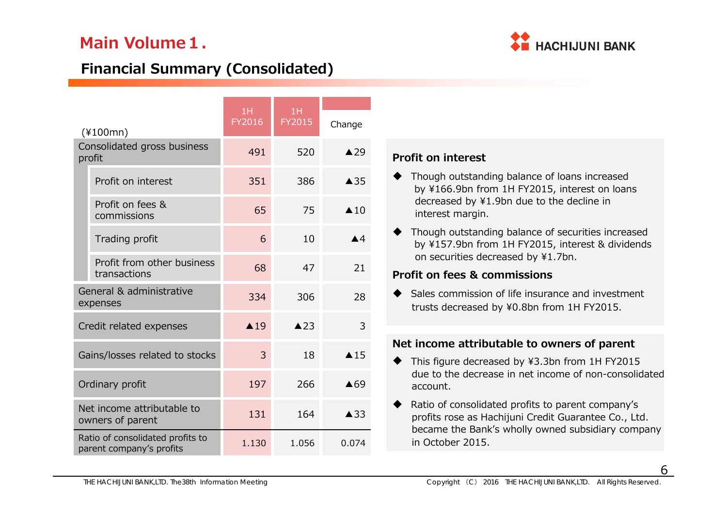

## **Financial Summary (Consolidated)**

|                                                              | 1H             | 1H             |                    |
|--------------------------------------------------------------|----------------|----------------|--------------------|
| $(*100mn)$                                                   | FY2016         | FY2015         | Change             |
| Consolidated gross business<br>profit                        | 491            | 520            | $\triangle$ 29     |
| Profit on interest                                           | 351            | 386            | $\triangle$ 35     |
| Profit on fees &<br>commissions                              | 65             | 75             | $\triangle$ 10     |
| Trading profit                                               | 6              | 10             | $\blacktriangle$ 4 |
| Profit from other business<br>transactions                   | 68             | 47             | 21                 |
| General & administrative<br>expenses                         | 334            | 306            | 28                 |
| Credit related expenses                                      | $\triangle$ 19 | $\triangle$ 23 | 3                  |
| Gains/losses related to stocks                               | 3              | 18             | $\triangle$ 15     |
| Ordinary profit                                              | 197            | 266            | $\triangle$ 69     |
| Net income attributable to<br>owners of parent               | 131            | 164            | ▲33                |
| Ratio of consolidated profits to<br>parent company's profits | 1.130          | 1.056          | 0.074              |

### **Profit on interest**

- ◆ Though outstanding balance of loans increased by ¥166.9bn from 1H FY2015, interest on loans decreased by ¥1.9bn due to the decline in interest margin.
- ◆ Though outstanding balance of securities increased by ¥157.9bn from 1H FY2015, interest & dividends on securities decreased by ¥1.7bn.

### **Profit on fees & commissions**

♦ Sales commission of life insurance and investment trusts decreased by ¥0.8bn from 1H FY2015.

### **Net income attributable to owners of parent**

- ◆ This figure decreased by ¥3.3bn from 1H FY2015 due to the decrease in net income of non-consolidated account.
- $\blacklozenge$  Ratio of consolidated profits to parent company's profits rose as Hachijuni Credit Guarantee Co., Ltd. became the Bank's wholly owned subsidiary company in October 2015.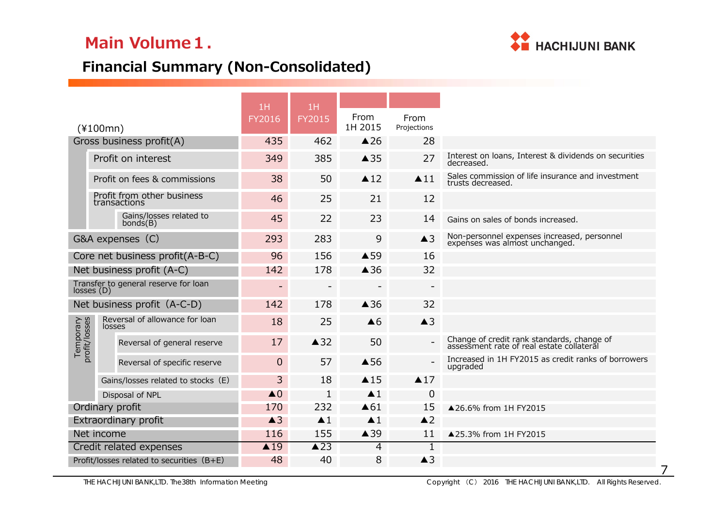

## **Financial Summary (Non-Consolidated)**

|                            |                                             | 1H             | 1H                       |                    |                          |                                                                                         |
|----------------------------|---------------------------------------------|----------------|--------------------------|--------------------|--------------------------|-----------------------------------------------------------------------------------------|
|                            | $(*100mn)$                                  | FY2016         | <b>FY2015</b>            | From<br>1H 2015    | From<br>Projections      |                                                                                         |
|                            | Gross business profit(A)                    | 435            | 462                      | $\triangle$ 26     | 28                       |                                                                                         |
|                            | Profit on interest                          | 349            | 385                      | $\triangle$ 35     | 27                       | Interest on loans, Interest & dividends on securities<br>decreased.                     |
|                            | Profit on fees & commissions                | 38             | 50                       | $\triangle$ 12     | $\blacktriangle$ 11      | Sales commission of life insurance and investment<br>trusts decreased.                  |
|                            | Profit from other business<br>transactions  | 46             | 25                       | 21                 | 12                       |                                                                                         |
|                            | Gains/losses related to<br>bonds(B)         | 45             | 22                       | 23                 | 14                       | Gains on sales of bonds increased.                                                      |
|                            | G&A expenses (C)                            | 293            | 283                      | 9                  | $\triangle$ 3            | Non-personnel expenses increased, personnel<br>expenses was almost unchanged.           |
|                            | Core net business profit(A-B-C)             | 96             | 156                      | ▲59                | 16                       |                                                                                         |
|                            | Net business profit (A-C)                   | 142            | 178                      | $\triangle$ 36     | 32                       |                                                                                         |
| losses(D)                  | Transfer to general reserve for loan        |                | $\overline{\phantom{0}}$ |                    | $\overline{\phantom{a}}$ |                                                                                         |
|                            | Net business profit (A-C-D)                 | 142            | 178                      | $\triangle$ 36     | 32                       |                                                                                         |
|                            | Reversal of allowance for loan<br>losses    | 18             | 25                       | $\triangle 6$      | $\triangle$ 3            |                                                                                         |
| Temporary<br>profit/losses | Reversal of general reserve                 | 17             | $\triangle$ 32           | 50                 |                          | Change of credit rank standards, change of<br>assessment rate of real estate collateral |
|                            | Reversal of specific reserve                | $\overline{0}$ | 57                       | ▲56                | $\overline{a}$           | Increased in 1H FY2015 as credit ranks of borrowers<br>upgraded                         |
|                            | Gains/losses related to stocks (E)          | 3              | 18                       | $\triangle$ 15     | $\triangle$ 17           |                                                                                         |
|                            | Disposal of NPL                             | $\triangle$ 0  | $\mathbf{1}$             | $\blacktriangle$ 1 | $\overline{0}$           |                                                                                         |
|                            | Ordinary profit                             | 170            | 232                      | $\triangle 61$     | 15                       | ▲26.6% from 1H FY2015                                                                   |
|                            | Extraordinary profit                        | $\triangle$ 3  | $\blacktriangle$ 1       | $\blacktriangle$ 1 | $\triangle$ 2            |                                                                                         |
|                            | Net income                                  | 116            | 155                      | ▲39                | 11                       | ▲25.3% from 1H FY2015                                                                   |
|                            | Credit related expenses                     | $\triangle$ 19 | $\triangle$ 23           | 4                  | $\overline{1}$           |                                                                                         |
|                            | Profit/losses related to securities $(B+E)$ | 48             | 40                       | 8                  | $\triangle$ 3            |                                                                                         |

THE HACHIJUNI BANK,LTD. The38th Information Meeting Copyright (C) 2016 THE HACHIJUNI BANK,LTD. All Rights Reserved.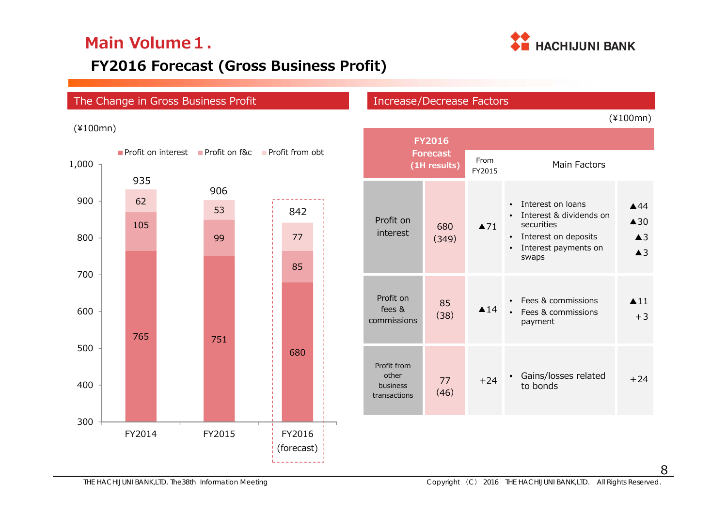

## **FY2016 Forecast (Gross Business Profit)**

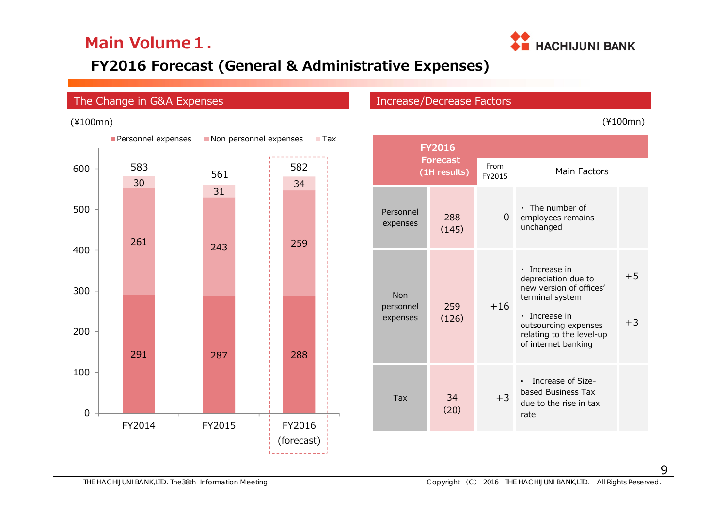

## **FY2016 Forecast (General & Administrative Expenses)**

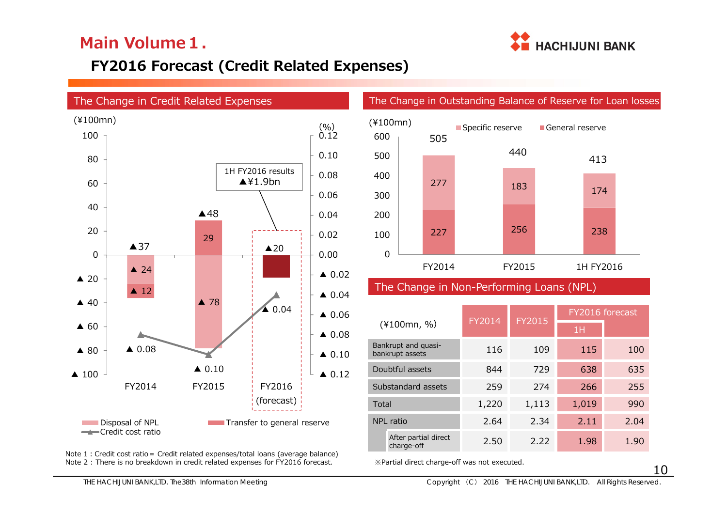

## **FY2016 Forecast (Credit Related Expenses)**



Note 1: Credit cost ratio = Credit related expenses/total loans (average balance) Note 2 : There is no breakdown in credit related expenses for FY2016 forecast.



### The Change in Non-Performing Loans (NPL)

|                                        | FY2014 | FY2015 | FY2016 forecast |      |  |  |
|----------------------------------------|--------|--------|-----------------|------|--|--|
| $(*100mn, %)$                          |        |        | 1H              |      |  |  |
| Bankrupt and quasi-<br>bankrupt assets | 116    | 109    | 115             | 100  |  |  |
| Doubtful assets                        | 844    | 729    | 638             | 635  |  |  |
| Substandard assets                     | 259    | 274    | 266             | 255  |  |  |
| Total                                  | 1,220  | 1,113  | 1,019           | 990  |  |  |
| NPL ratio                              | 2.64   | 2.34   | 2.11            | 2.04 |  |  |
| After partial direct<br>charge-off     | 2.50   | 2.22   | 1.98            | 1.90 |  |  |

※Partial direct charge-off was not executed.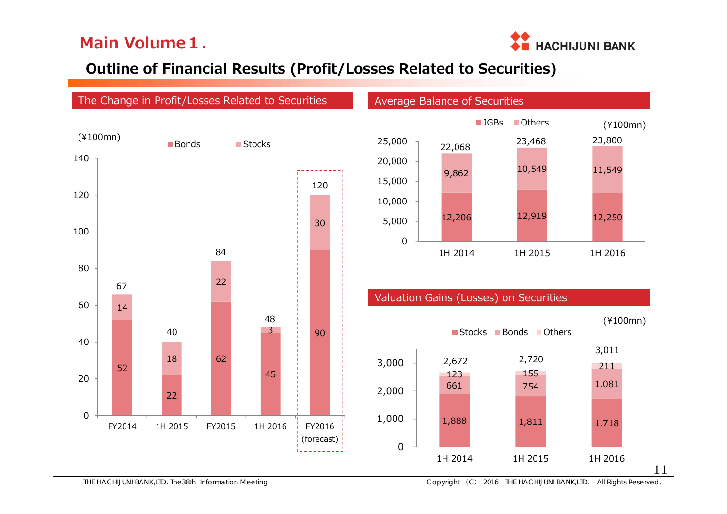

## **Outline of Financial Results (Profit/Losses Related to Securities)**

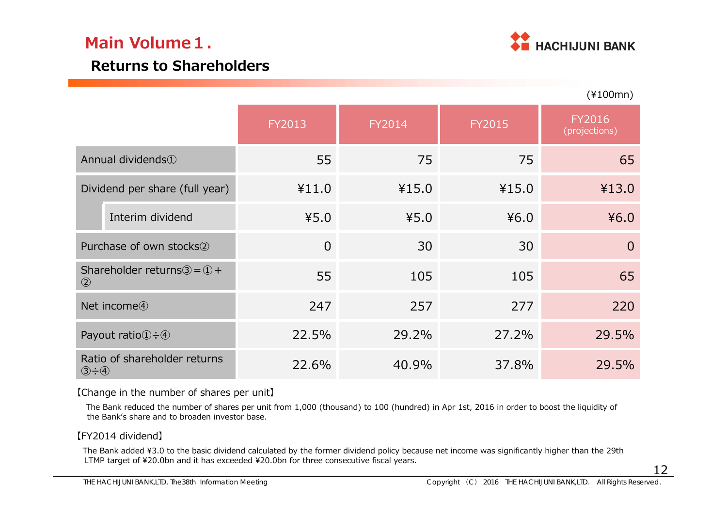

(¥100mn)

### **Returns to Shareholders**

|                                                                            |                |        |        | $\sqrt{2}$                     |
|----------------------------------------------------------------------------|----------------|--------|--------|--------------------------------|
|                                                                            | FY2013         | FY2014 | FY2015 | <b>FY2016</b><br>(projections) |
| Annual dividends <sup>1</sup>                                              | 55             | 75     | 75     | 65                             |
| Dividend per share (full year)                                             | ¥11.0          | ¥15.0  | ¥15.0  | ¥13.0                          |
| Interim dividend                                                           | 45.0           | 45.0   | 46.0   | 46.0                           |
| Purchase of own stocks <sup>(2)</sup>                                      | $\overline{0}$ | 30     | 30     | $\overline{0}$                 |
| Shareholder returns $\textcircled{3} = \textcircled{1} +$<br>$\circled{2}$ | 55             | 105    | 105    | 65                             |
| Net income <sup>4</sup>                                                    | 247            | 257    | 277    | 220                            |
| Payout ratio $\textcircled{1} \div \textcircled{4}$                        | 22.5%          | 29.2%  | 27.2%  | 29.5%                          |
| Ratio of shareholder returns<br>$\circled{3} \div \circled{4}$             | 22.6%          | 40.9%  | 37.8%  | 29.5%                          |

【Change in the number of shares per unit】

The Bank reduced the number of shares per unit from 1,000 (thousand) to 100 (hundred) in Apr 1st, 2016 in order to boost the liquidity of the Bank's share and to broaden investor base.

### 【FY2014 dividend】

The Bank added ¥3.0 to the basic dividend calculated by the former dividend policy because net income was significantly higher than the 29th LTMP target of ¥20.0bn and it has exceeded ¥20.0bn for three consecutive fiscal years.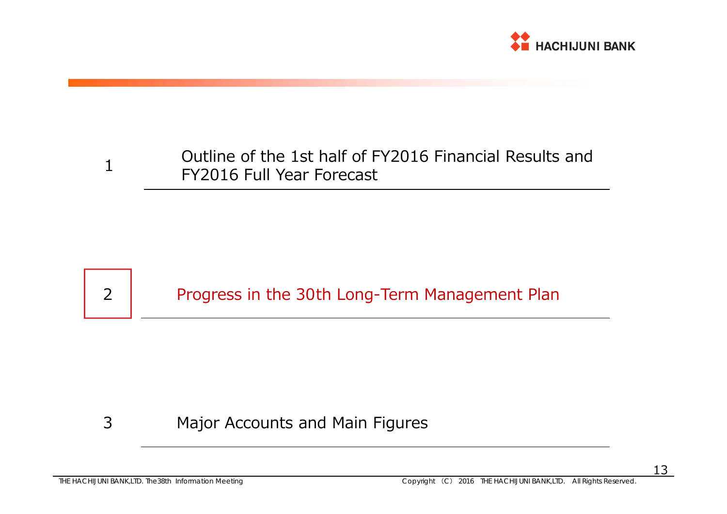

### Outline of the 1st half of FY2016 Financial Results and FY2016 Full Year Forecast 1

## Progress in the 30th Long-Term Management Plan

#### 3Major Accounts and Main Figures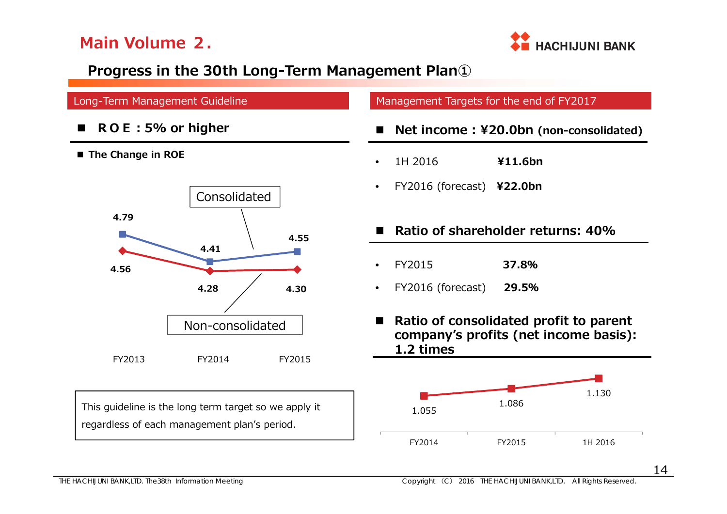

## **Progress in the 30th Long-Term Management Plan①**

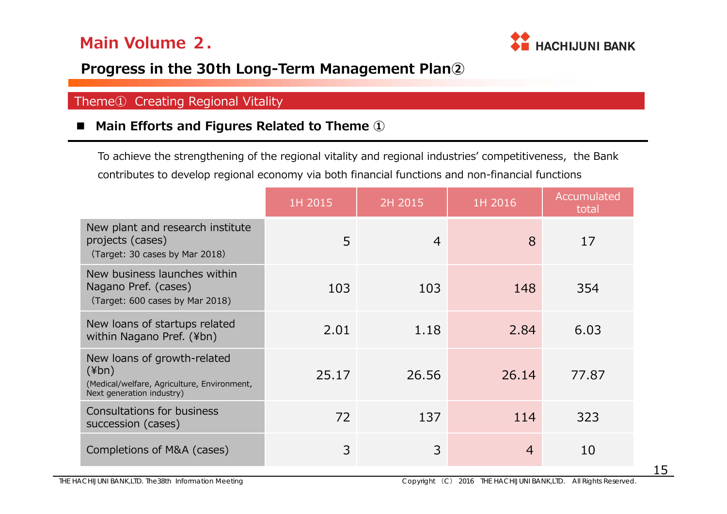

### **Progress in the 30th Long-Term Management Plan②**

### Theme① Creating Regional Vitality

### ■ Main Efforts and Figures Related to Theme ①

To achieve the strengthening of the regional vitality and regional industries' competitiveness, the Bank contributes to develop regional economy via both financial functions and non-financial functions

|                                                                                                                        | 1H 2015 | 2H 2015        | 1H 2016        | Accumulated<br>total |
|------------------------------------------------------------------------------------------------------------------------|---------|----------------|----------------|----------------------|
| New plant and research institute<br>projects (cases)<br>(Target: 30 cases by Mar 2018)                                 | 5       | $\overline{4}$ | 8              | 17                   |
| New business launches within<br>Nagano Pref. (cases)<br>(Target: 600 cases by Mar 2018)                                | 103     | 103            | 148            | 354                  |
| New loans of startups related<br>within Nagano Pref. (¥bn)                                                             | 2.01    | 1.18           | 2.84           | 6.03                 |
| New loans of growth-related<br>$(\n{Fbn})$<br>(Medical/welfare, Agriculture, Environment,<br>Next generation industry) | 25.17   | 26.56          | 26.14          | 77.87                |
| Consultations for business<br>succession (cases)                                                                       | 72      | 137            | 114            | 323                  |
| Completions of M&A (cases)                                                                                             | 3       | 3              | $\overline{4}$ | 10                   |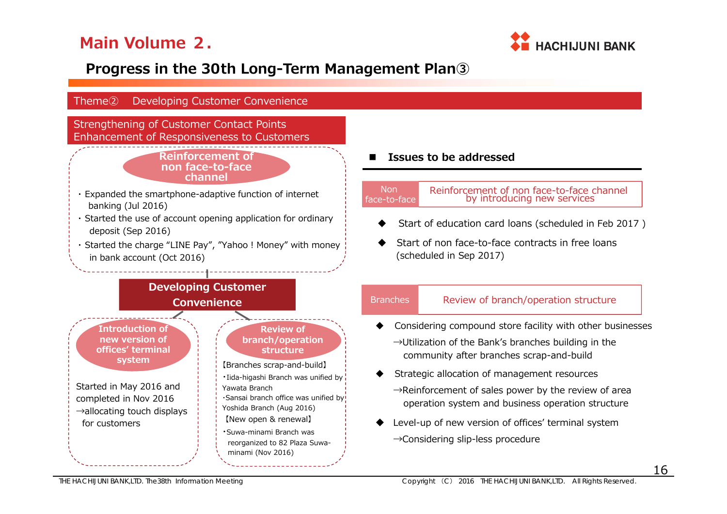

## **Progress in the 30th Long-Term Management Plan③**

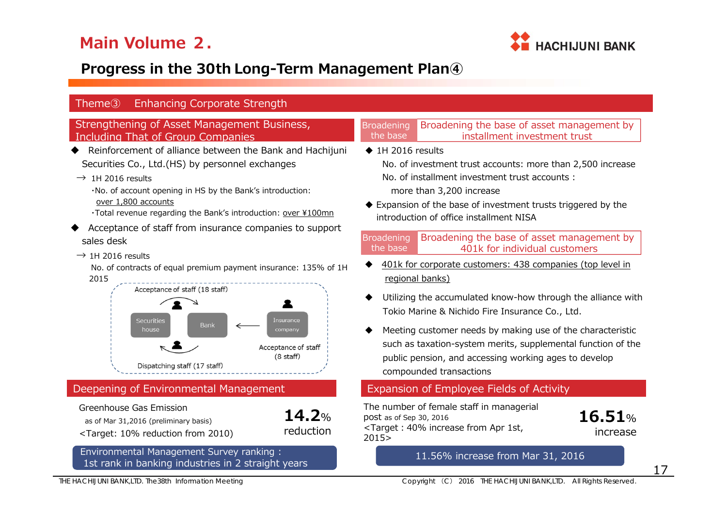

## **Progress in the 30th Long-Term Management Plan④**

| <b>Enhancing Corporate Strength</b><br>Theme <sup>3</sup>                                                                                                                                                                                                                                                                                                                                                                                                                                                                                                                                                                                                                     |                                                                                                                                                                                                                                                                                                                                                                                                                                                                                                                                                                                                                                                                                                                                                                                                                          |
|-------------------------------------------------------------------------------------------------------------------------------------------------------------------------------------------------------------------------------------------------------------------------------------------------------------------------------------------------------------------------------------------------------------------------------------------------------------------------------------------------------------------------------------------------------------------------------------------------------------------------------------------------------------------------------|--------------------------------------------------------------------------------------------------------------------------------------------------------------------------------------------------------------------------------------------------------------------------------------------------------------------------------------------------------------------------------------------------------------------------------------------------------------------------------------------------------------------------------------------------------------------------------------------------------------------------------------------------------------------------------------------------------------------------------------------------------------------------------------------------------------------------|
| Strengthening of Asset Management Business,<br>Including That of Group Companies                                                                                                                                                                                                                                                                                                                                                                                                                                                                                                                                                                                              | Broadening the base of asset management by<br><b>Broadening</b><br>installment investment trust<br>the base                                                                                                                                                                                                                                                                                                                                                                                                                                                                                                                                                                                                                                                                                                              |
| Reinforcement of alliance between the Bank and Hachijuni<br>Securities Co., Ltd.(HS) by personnel exchanges<br>$\rightarrow$ 1H 2016 results<br>. No. of account opening in HS by the Bank's introduction:<br>over 1,800 accounts<br>. Total revenue regarding the Bank's introduction: over ¥100mn<br>Acceptance of staff from insurance companies to support<br>sales desk<br>$\rightarrow$ 1H 2016 results<br>No. of contracts of equal premium payment insurance: 135% of 1H<br>2015<br>Acceptance of staff (18 staff)<br>Insurance<br><b>Securities</b><br><b>Bank</b><br>house<br>company<br>Acceptance of staff<br>$(8 \text{ staff})$<br>Dispatching staff (17 staff) | $\triangle$ 1H 2016 results<br>No. of investment trust accounts: more than 2,500 increase<br>No. of installment investment trust accounts :<br>more than 3,200 increase<br>♦ Expansion of the base of investment trusts triggered by the<br>introduction of office installment NISA<br>Broadening the base of asset management by<br><b>Broadening</b><br>the base<br>401k for individual customers<br>401k for corporate customers: 438 companies (top level in<br>regional banks)<br>Utilizing the accumulated know-how through the alliance with<br>Tokio Marine & Nichido Fire Insurance Co., Ltd.<br>Meeting customer needs by making use of the characteristic<br>such as taxation-system merits, supplemental function of the<br>public pension, and accessing working ages to develop<br>compounded transactions |
| Deepening of Environmental Management                                                                                                                                                                                                                                                                                                                                                                                                                                                                                                                                                                                                                                         | Expansion of Employee Fields of Activity                                                                                                                                                                                                                                                                                                                                                                                                                                                                                                                                                                                                                                                                                                                                                                                 |
| Greenhouse Gas Emission<br>14.2%<br>as of Mar 31,2016 (preliminary basis)<br>reduction<br><target: 10%="" 2010)<="" from="" reduction="" td=""><td>The number of female staff in managerial<br/>16.51%<br/>post as of Sep 30, 2016<br/><target: 1st,<br="" 40%="" apr="" from="" increase="">increase<br/>2015 &gt;</target:></td></target:>                                                                                                                                                                                                                                                                                                                                  | The number of female staff in managerial<br>16.51%<br>post as of Sep 30, 2016<br><target: 1st,<br="" 40%="" apr="" from="" increase="">increase<br/>2015 &gt;</target:>                                                                                                                                                                                                                                                                                                                                                                                                                                                                                                                                                                                                                                                  |
| Environmental Management Survey ranking :<br>1st rank in banking industries in 2 straight years                                                                                                                                                                                                                                                                                                                                                                                                                                                                                                                                                                               | 11.56% increase from Mar 31, 2016                                                                                                                                                                                                                                                                                                                                                                                                                                                                                                                                                                                                                                                                                                                                                                                        |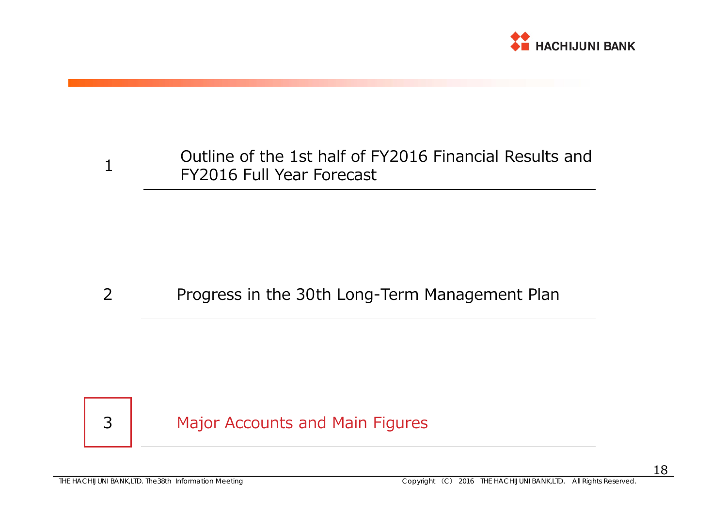

### Outline of the 1st half of FY2016 Financial Results and FY2016 Full Year Forecast 1

#### 2Progress in the 30th Long-Term Management Plan

## 3

Major Accounts and Main Figures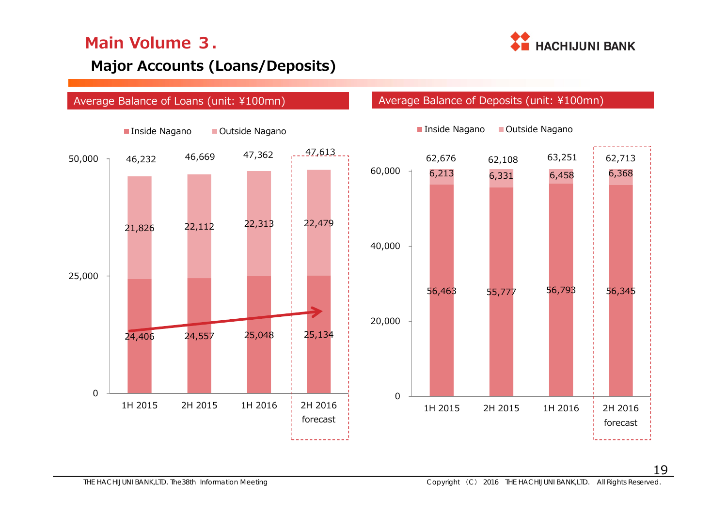

### **Major Accounts (Loans/Deposits)**

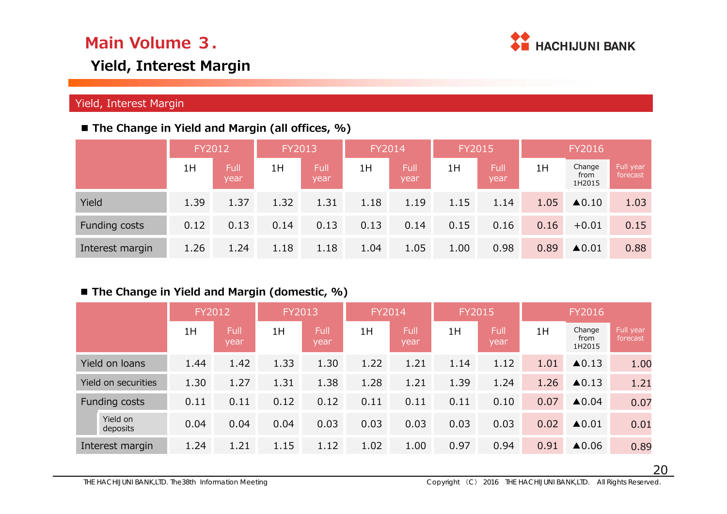

### **Yield, Interest Margin**

### Yield, Interest Margin

### ■ The Change in Yield and Margin (all offices, %)

|                      | FY2012 |                     | FY2013 |                     | FY2014 |              | FY2015 |              |      | FY2016                   |                       |
|----------------------|--------|---------------------|--------|---------------------|--------|--------------|--------|--------------|------|--------------------------|-----------------------|
|                      | 1H     | <b>Full</b><br>year | 1H     | <b>Full</b><br>year | 1H     | Full<br>year | 1H     | Full<br>year | 1H   | Change<br>from<br>1H2015 | Full year<br>forecast |
| Yield                | 1.39   | 1.37                | 1.32   | 1.31                | 1.18   | 1.19         | 1.15   | 1.14         | 1.05 | $\triangle$ 0.10         | 1.03                  |
| <b>Funding costs</b> | 0.12   | 0.13                | 0.14   | 0.13                | 0.13   | 0.14         | 0.15   | 0.16         | 0.16 | $+0.01$                  | 0.15                  |
| Interest margin      | 1.26   | 1.24                | 1.18   | 1.18                | 1.04   | 1.05         | 1.00   | 0.98         | 0.89 | $\triangle$ 0.01         | 0.88                  |

### ■ The Change in Yield and Margin (domestic, %)

|                      | FY2012 |              | FY2013 |              | FY2014 |                     | <b>FY2015</b> |                     |      | FY2016                   |                       |
|----------------------|--------|--------------|--------|--------------|--------|---------------------|---------------|---------------------|------|--------------------------|-----------------------|
|                      | 1H     | Full<br>year | 1H     | Full<br>year | 1H     | <b>Full</b><br>year | 1H            | <b>Full</b><br>year | 1H   | Change<br>from<br>1H2015 | Full year<br>forecast |
| Yield on loans       | 1.44   | 1.42         | 1.33   | 1.30         | 1.22   | 1.21                | 1.14          | 1.12                | 1.01 | $\blacktriangle$ 0.13    | 1.00                  |
| Yield on securities  | 1.30   | 1.27         | 1.31   | 1.38         | 1.28   | 1.21                | 1.39          | 1.24                | 1.26 | $\triangle$ 0.13         | 1.21                  |
| Funding costs        | 0.11   | 0.11         | 0.12   | 0.12         | 0.11   | 0.11                | 0.11          | 0.10                | 0.07 | $\triangle$ 0.04         | 0.07                  |
| Yield on<br>deposits | 0.04   | 0.04         | 0.04   | 0.03         | 0.03   | 0.03                | 0.03          | 0.03                | 0.02 | $\triangle$ 0.01         | 0.01                  |
| Interest margin      | 1.24   | 1.21         | 1.15   | 1.12         | 1.02   | 1.00                | 0.97          | 0.94                | 0.91 | ▲0.06                    | 0.89                  |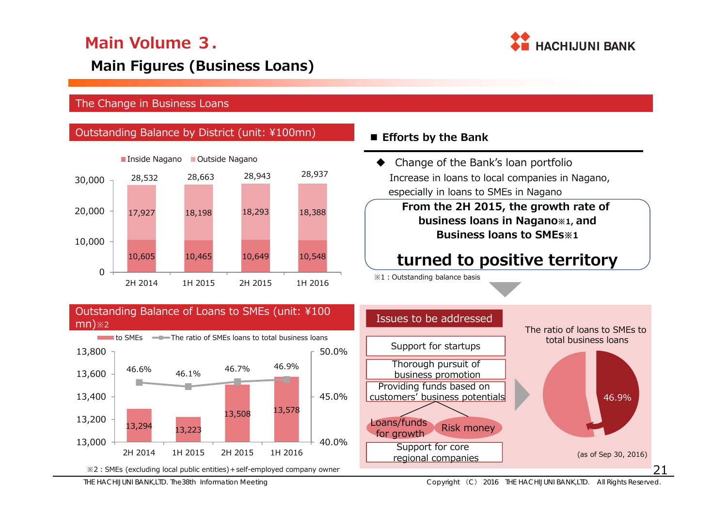

### **Main Figures (Business Loans)**

### The Change in Business Loans

### **Outstanding Balance by District (unit: ¥100mn)**



### Efforts by the Bank

♦ Change of the Bank's loan portfolio Increase in loans to local companies in Nagano, especially in loans to SMEs in Nagano

> **From the 2H 2015, the growth rate of business loans in Nagano※1, and Business loans to SMEs※1**

## **turned to positive territory**

※1:Outstanding balance basis



### Thorough pursuit of business promotion Providing funds based on customers' business potentials Support for core regional companies The ratio of loans to SMEs to total business loans(as of Sep 30, 2016) Issues to be addressedSupport for startups odits/Turius<br>for growth Risk money 46.9%

THE HACHIJUNI BANK,LTD. The38th Information Meeting Copyright (C) 2016 THE HACHIJUNI BANK,LTD. All Rights Reserved.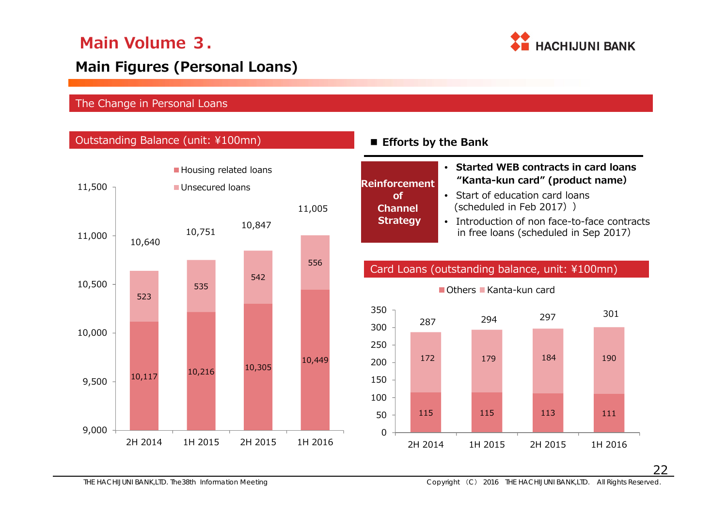

### **Main Figures (Personal Loans)**

### The Change in Personal Loans

### Outstanding Balance (unit: ¥100mn)



### **Efforts by the Bank**

**of Channel** 

## • **Started WEB contracts in card loans Reinforcement "Kanta-kun card" (product name)**

- Start of education card loans (scheduled in Feb 2017))
- Introduction of non face-to-face contracts in free loans (scheduled in Sep 2017) **Strategy**

### Card Loans (outstanding balance, unit: ¥100mn)

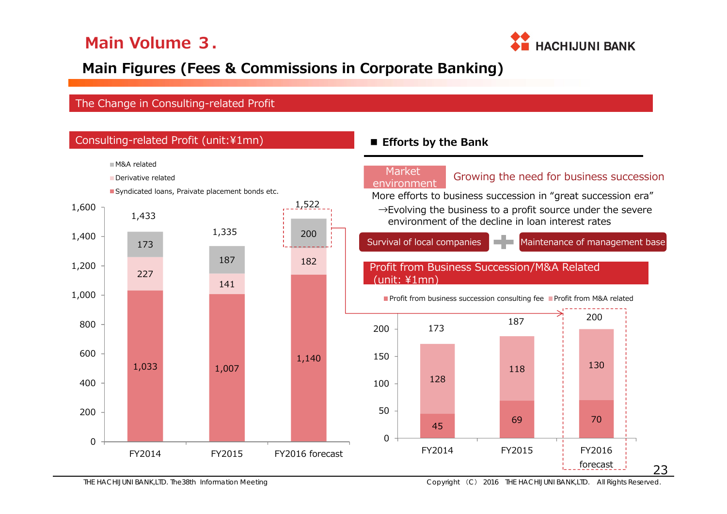

## **Main Figures (Fees & Commissions in Corporate Banking)**

### The Change in Consulting-related Profit

|       |                                   | Consulting-related Profit (unit:¥1mn)           |            |  |                 |             | <b>E</b> Efforts by the Bank |                                                                                                                              |                                |                    |     |  |     |  |
|-------|-----------------------------------|-------------------------------------------------|------------|--|-----------------|-------------|------------------------------|------------------------------------------------------------------------------------------------------------------------------|--------------------------------|--------------------|-----|--|-----|--|
|       | M&A related<br>Derivative related | Syndicated loans, Praivate placement bonds etc. |            |  |                 |             | <b>Market</b><br>environment | Growing the need for business succession<br>More efforts to business succession in "great succession era"                    |                                |                    |     |  |     |  |
| 1,600 | 1,433                             |                                                 |            |  | 1,522           |             |                              | $\rightarrow$ Evolving the business to a profit source under the severe<br>environment of the decline in loan interest rates |                                |                    |     |  |     |  |
| 1,400 | 173                               |                                                 | 1,335      |  | 200             |             | Survival of local companies  |                                                                                                                              | Maintenance of management base |                    |     |  |     |  |
| 1,200 | 227                               |                                                 | 187<br>141 |  | 182             |             | unit: ¥1mn)                  | Profit from Business Succession/M&A Related                                                                                  |                                |                    |     |  |     |  |
| 1,000 |                                   |                                                 |            |  |                 |             |                              | Profit from business succession consulting fee Profit from M&A related                                                       |                                |                    |     |  |     |  |
| 800   |                                   |                                                 |            |  |                 | 200         | 173                          | 187                                                                                                                          |                                | 200                |     |  |     |  |
| 600   | 1,033                             |                                                 | 1,007      |  | 1,140           |             |                              |                                                                                                                              | 150                            |                    | 118 |  | 130 |  |
| 400   |                                   |                                                 |            |  |                 | 100         | 128                          |                                                                                                                              |                                |                    |     |  |     |  |
| 200   |                                   |                                                 |            |  |                 | 50          | 45                           | 69                                                                                                                           |                                | 70                 |     |  |     |  |
| 0     | FY2014                            |                                                 | FY2015     |  | FY2016 forecast | $\mathbf 0$ | FY2014                       | FY2015                                                                                                                       |                                | FY2016<br>forecast | 23  |  |     |  |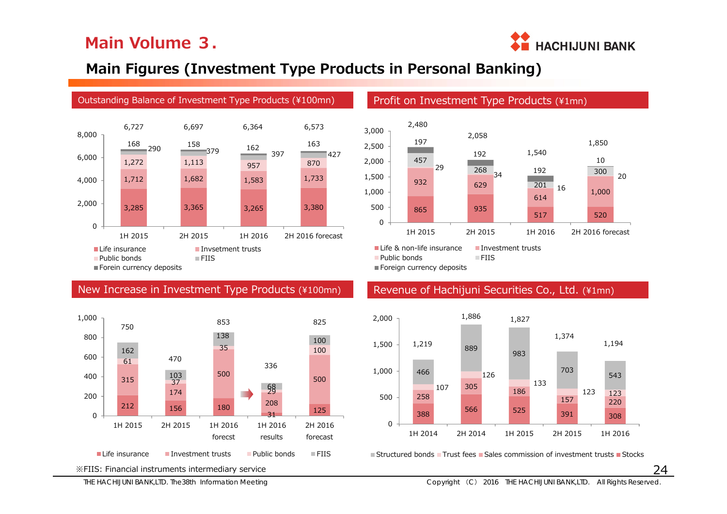

### **Main Figures (Investment Type Products in Personal Banking)**



### New Increase in Investment Type Products (¥100mn)





Foreign currency deposits

### Revenue of Hachijuni Securities Co., Ltd. (¥1mn)



Structured bonds Trust fees Sales commission of investment trusts Stocks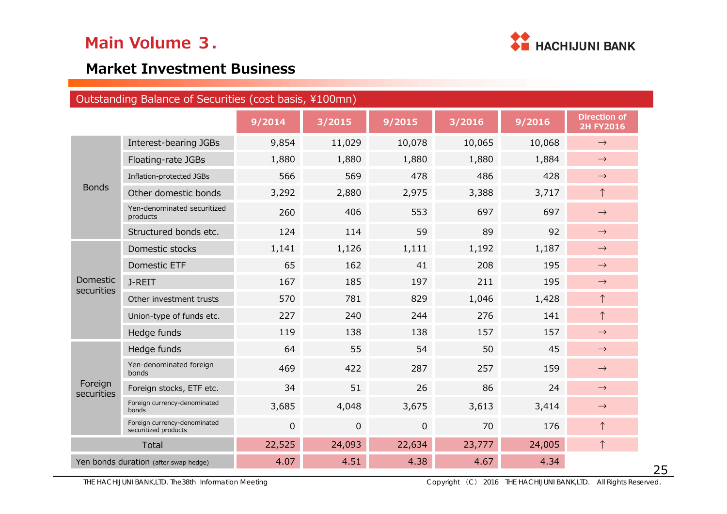

### **Market Investment Business**

|                               | Outstanding Balance of Securities (cost basis, ¥100mn) |                |              |                |        |        |                                         |
|-------------------------------|--------------------------------------------------------|----------------|--------------|----------------|--------|--------|-----------------------------------------|
|                               |                                                        | 9/2014         | 3/2015       | 9/2015         | 3/2016 | 9/2016 | <b>Direction of</b><br><b>2H FY2016</b> |
|                               | Interest-bearing JGBs                                  | 9,854          | 11,029       | 10,078         | 10,065 | 10,068 | $\rightarrow$                           |
|                               | Floating-rate JGBs                                     | 1,880          | 1,880        | 1,880          | 1,880  | 1,884  | $\rightarrow$                           |
|                               | Inflation-protected JGBs                               | 566            | 569          | 478            | 486    | 428    | $\rightarrow$                           |
| <b>Bonds</b>                  | Other domestic bonds                                   | 3,292          | 2,880        | 2,975          | 3,388  | 3,717  | $\uparrow$                              |
|                               | Yen-denominated securitized<br>products                | 260            | 406          | 553            | 697    | 697    | $\rightarrow$                           |
|                               | Structured bonds etc.                                  | 124            | 114          | 59             | 89     | 92     | $\rightarrow$                           |
|                               | Domestic stocks                                        | 1,141          | 1,126        | 1,111          | 1,192  | 1,187  | $\rightarrow$                           |
|                               | Domestic ETF                                           | 65             | 162          | 41             | 208    | 195    | $\rightarrow$                           |
| <b>Domestic</b><br>securities | J-REIT                                                 | 167            | 185          | 197            | 211    | 195    | $\rightarrow$                           |
|                               | Other investment trusts                                | 570            | 781          | 829            | 1,046  | 1,428  | $\uparrow$                              |
|                               | Union-type of funds etc.                               | 227            | 240          | 244            | 276    | 141    | $\uparrow$                              |
|                               | Hedge funds                                            | 119            | 138          | 138            | 157    | 157    | $\rightarrow$                           |
|                               | Hedge funds                                            | 64             | 55           | 54             | 50     | 45     | $\rightarrow$                           |
|                               | Yen-denominated foreign<br>bonds                       | 469            | 422          | 287            | 257    | 159    | $\rightarrow$                           |
| Foreign<br>securities         | Foreign stocks, ETF etc.                               | 34             | 51           | 26             | 86     | 24     | $\rightarrow$                           |
|                               | Foreign currency-denominated<br>bonds                  | 3,685          | 4,048        | 3,675          | 3,613  | 3,414  | $\rightarrow$                           |
|                               | Foreign currency-denominated<br>securitized products   | $\overline{0}$ | $\mathbf{0}$ | $\overline{0}$ | 70     | 176    | $\uparrow$                              |
|                               | <b>Total</b>                                           | 22,525         | 24,093       | 22,634         | 23,777 | 24,005 | $\uparrow$                              |
|                               | Yen bonds duration (after swap hedge)                  | 4.07           | 4.51         | 4.38           | 4.67   | 4.34   |                                         |

THE HACHIJUNI BANK,LTD. The38th Information Meeting Copyright (C) 2016 THE HACHIJUNI BANK,LTD. All Rights Reserved.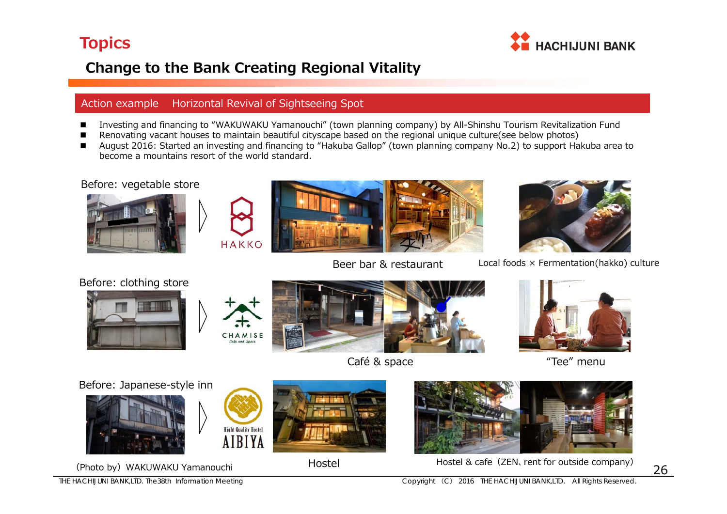

## **Change to the Bank Creating Regional Vitality**

### Action example Horizontal Revival of Sightseeing Spot

- Investing and financing to "WAKUWAKU Yamanouchi" (town planning company) by All-Shinshu Tourism Revitalization Fund
- Renovating vacant houses to maintain beautiful cityscape based on the regional unique culture(see below photos)
- $\blacksquare$  August 2016: Started an investing and financing to "Hakuba Gallop" (town planning company No.2) to support Hakuba area to become a mountains resort of the world standard.

### Before: vegetable store







Beer bar & restaurant



Local foods <sup>×</sup> Fermentation(hakko) culture

### Before: clothing store





**Hight Quality Hostel AIBIYA** 







"Tee" menu

Before: Japanese-style inn







Hostel





(Photo by) WAKUWAKU Yamanouchi **Hostel Michael Accel** Hostel & cafe (ZEN, rent for outside company)